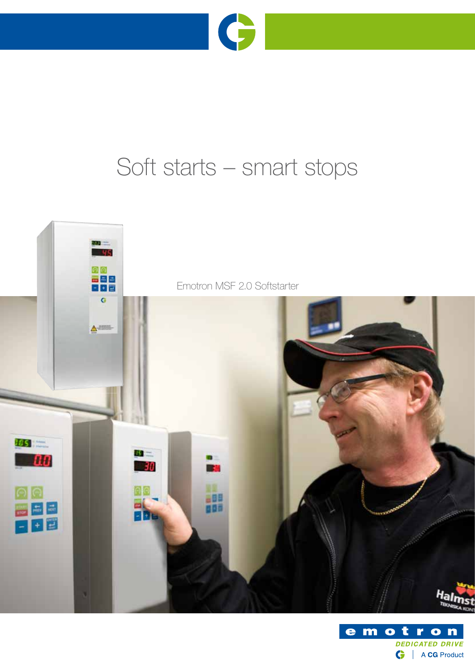

# Soft starts – smart stops



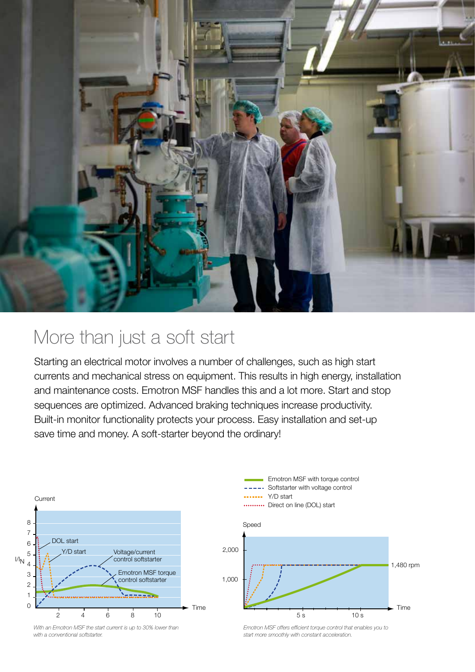

### More than just a soft start

Starting an electrical motor involves a number of challenges, such as high start currents and mechanical stress on equipment. This results in high energy, installation and maintenance costs. Emotron MSF handles this and a lot more. Start and stop sequences are optimized. Advanced braking techniques increase productivity. Built-in monitor functionality protects your process. Easy installation and set-up save time and money. A soft-starter beyond the ordinary!







Emotron MSF with torque control

*Emotron MSF offers efficient torque control that enables you to start more smoothly with constant acceleration.*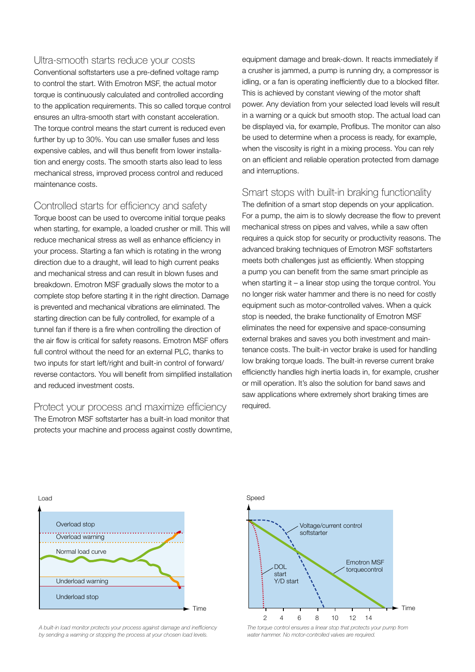#### Ultra-smooth starts reduce your costs

Conventional softstarters use a pre-defined voltage ramp to control the start. With Emotron MSF, the actual motor torque is continuously calculated and controlled according to the application requirements. This so called torque control ensures an ultra-smooth start with constant acceleration. The torque control means the start current is reduced even further by up to 30%. You can use smaller fuses and less expensive cables, and will thus benefit from lower installation and energy costs. The smooth starts also lead to less mechanical stress, improved process control and reduced maintenance costs.

### Controlled starts for efficiency and safety

Torque boost can be used to overcome initial torque peaks when starting, for example, a loaded crusher or mill. This will reduce mechanical stress as well as enhance efficiency in your process. Starting a fan which is rotating in the wrong direction due to a draught, will lead to high current peaks and mechanical stress and can result in blown fuses and breakdown. Emotron MSF gradually slows the motor to a complete stop before starting it in the right direction. Damage is prevented and mechanical vibrations are eliminated. The starting direction can be fully controlled, for example of a tunnel fan if there is a fire when controlling the direction of the air flow is critical for safety reasons. Emotron MSF offers full control without the need for an external PLC, thanks to two inputs for start left/right and built-in control of forward/ reverse contactors. You will benefit from simplified installation and reduced investment costs.

Protect your process and maximize efficiency The Emotron MSF softstarter has a built-in load monitor that protects your machine and process against costly downtime, equipment damage and break-down. It reacts immediately if a crusher is jammed, a pump is running dry, a compressor is idling, or a fan is operating inefficiently due to a blocked filter. This is achieved by constant viewing of the motor shaft power. Any deviation from your selected load levels will result in a warning or a quick but smooth stop. The actual load can be displayed via, for example, Profibus. The monitor can also be used to determine when a process is ready, for example, when the viscosity is right in a mixing process. You can rely on an efficient and reliable operation protected from damage and interruptions.

Smart stops with built-in braking functionality

The definition of a smart stop depends on your application. For a pump, the aim is to slowly decrease the flow to prevent mechanical stress on pipes and valves, while a saw often requires a quick stop for security or productivity reasons. The advanced braking techniques of Emotron MSF softstarters meets both challenges just as efficiently. When stopping a pump you can benefit from the same smart principle as when starting it – a linear stop using the torque control. You no longer risk water hammer and there is no need for costly equipment such as motor-controlled valves. When a quick stop is needed, the brake functionality of Emotron MSF eliminates the need for expensive and space-consuming external brakes and saves you both investment and maintenance costs. The built-in vector brake is used for handling low braking torque loads. The built-in reverse current brake efficienctly handles high inertia loads in, for example, crusher or mill operation. It's also the solution for band saws and saw applications where extremely short braking times are required.



*A built-in load monitor protects your process against damage and inefficiency by sending a warning or stopping the process at your chosen load levels.*



*The torque control ensures a linear stop that protects your pump from water hammer. No motor-controlled valves are required.*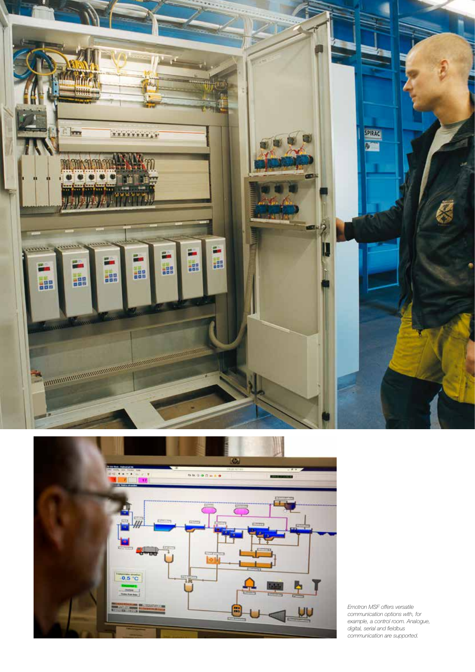



*Emotron MSF offers versatile communication options with, for example, a control room. Analogue, digital, serial and fieldbus communication are supported.*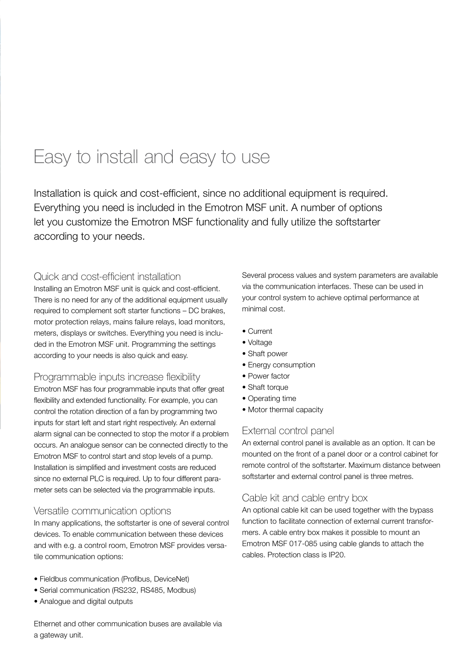## Easy to install and easy to use

Installation is quick and cost-efficient, since no additional equipment is required. Everything you need is included in the Emotron MSF unit. A number of options let you customize the Emotron MSF functionality and fully utilize the softstarter according to your needs.

#### Quick and cost-efficient installation

Installing an Emotron MSF unit is quick and cost-efficient. There is no need for any of the additional equipment usually required to complement soft starter functions – DC brakes, motor protection relays, mains failure relays, load monitors, meters, displays or switches. Everything you need is included in the Emotron MSF unit. Programming the settings according to your needs is also quick and easy.

#### Programmable inputs increase flexibility

Emotron MSF has four programmable inputs that offer great flexibility and extended functionality. For example, you can control the rotation direction of a fan by programming two inputs for start left and start right respectively. An external alarm signal can be connected to stop the motor if a problem occurs. An analogue sensor can be connected directly to the Emotron MSF to control start and stop levels of a pump. Installation is simplified and investment costs are reduced since no external PLC is required. Up to four different parameter sets can be selected via the programmable inputs.

#### Versatile communication options

In many applications, the softstarter is one of several control devices. To enable communication between these devices and with e.g. a control room, Emotron MSF provides versatile communication options:

- Fieldbus communication (Profibus, DeviceNet)
- Serial communication (RS232, RS485, Modbus)
- Analogue and digital outputs

Ethernet and other communication buses are available via a gateway unit.

Several process values and system parameters are available via the communication interfaces. These can be used in your control system to achieve optimal performance at minimal cost.

- Current
- Voltage
- Shaft power
- Energy consumption
- Power factor
- Shaft torque
- Operating time
- Motor thermal capacity

### External control panel

An external control panel is available as an option. It can be mounted on the front of a panel door or a control cabinet for remote control of the softstarter. Maximum distance between softstarter and external control panel is three metres.

#### Cable kit and cable entry box

An optional cable kit can be used together with the bypass function to facilitate connection of external current transformers. A cable entry box makes it possible to mount an Emotron MSF 017-085 using cable glands to attach the cables. Protection class is IP20.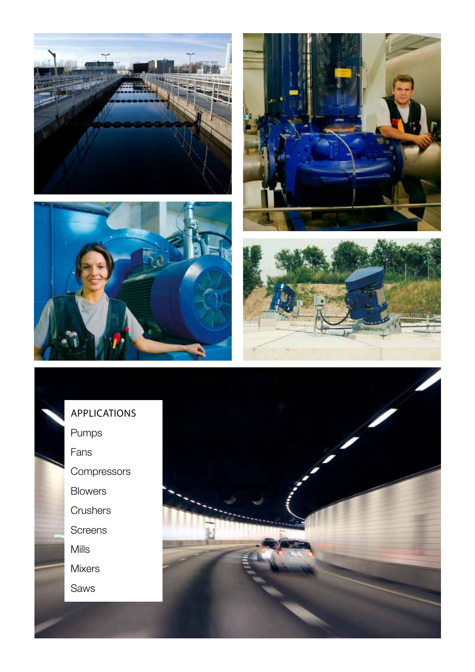









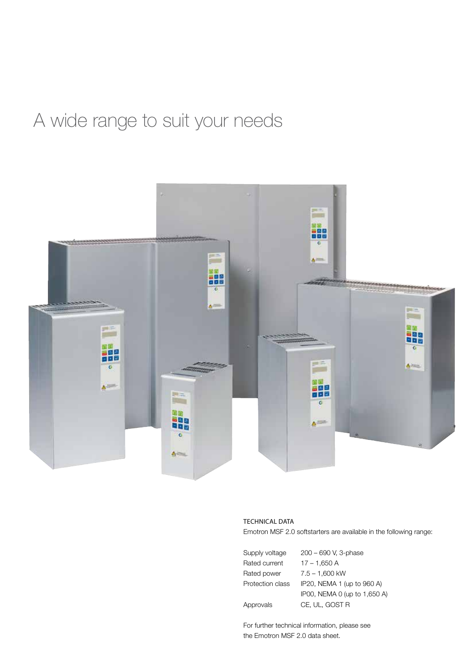# A wide range to suit your needs



#### TECHNICAL DATA

Emotron MSF 2.0 softstarters are available in the following range:

| Supply voltage   | 200 - 690 V, 3-phase         |
|------------------|------------------------------|
| Rated current    | $17 - 1,650$ A               |
| Rated power      | $7.5 - 1.600$ kW             |
| Protection class | IP20, NEMA 1 (up to 960 A)   |
|                  | IP00, NEMA 0 (up to 1,650 A) |
| Approvals        | CE. UL. GOST R               |

For further technical information, please see the Emotron MSF 2.0 data sheet.